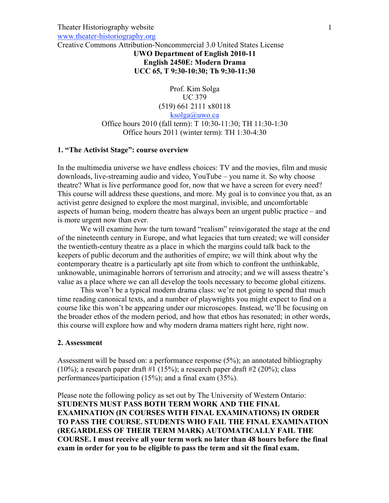#### Theater Historiography website www.theater-historiography.org

Creative Commons Attribution-Noncommercial 3.0 United States License

### **UWO Department of English 2010-11 English 2450E: Modern Drama UCC 65, T 9:30-10:30; Th 9:30-11:30**

Prof. Kim Solga UC 379 (519) 661 2111 x80118 ksolga@uwo.ca Office hours 2010 (fall term): T 10:30-11:30; TH 11:30-1:30 Office hours 2011 (winter term): TH 1:30-4:30

### **1. "The Activist Stage": course overview**

In the multimedia universe we have endless choices: TV and the movies, film and music downloads, live-streaming audio and video, YouTube – you name it. So why choose theatre? What is live performance good for, now that we have a screen for every need? This course will address these questions, and more. My goal is to convince you that, as an activist genre designed to explore the most marginal, invisible, and uncomfortable aspects of human being, modern theatre has always been an urgent public practice – and is more urgent now than ever.

We will examine how the turn toward "realism" reinvigorated the stage at the end of the nineteenth century in Europe, and what legacies that turn created; we will consider the twentieth-century theatre as a place in which the margins could talk back to the keepers of public decorum and the authorities of empire; we will think about why the contemporary theatre is a particularly apt site from which to confront the unthinkable, unknowable, unimaginable horrors of terrorism and atrocity; and we will assess theatre's value as a place where we can all develop the tools necessary to become global citizens.

This won't be a typical modern drama class: we're not going to spend that much time reading canonical texts, and a number of playwrights you might expect to find on a course like this won't be appearing under our microscopes. Instead, we'll be focusing on the broader ethos of the modern period, and how that ethos has resonated; in other words, this course will explore how and why modern drama matters right here, right now.

#### **2. Assessment**

Assessment will be based on: a performance response (5%); an annotated bibliography (10%); a research paper draft #1 (15%); a research paper draft #2 (20%); class performances/participation (15%); and a final exam (35%).

Please note the following policy as set out by The University of Western Ontario: **STUDENTS MUST PASS BOTH TERM WORK AND THE FINAL EXAMINATION (IN COURSES WITH FINAL EXAMINATIONS) IN ORDER TO PASS THE COURSE. STUDENTS WHO FAIL THE FINAL EXAMINATION (REGARDLESS OF THEIR TERM MARK) AUTOMATICALLY FAIL THE COURSE. I must receive all your term work no later than 48 hours before the final exam in order for you to be eligible to pass the term and sit the final exam.**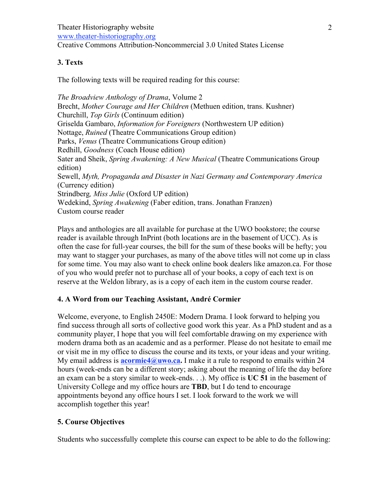# **3. Texts**

The following texts will be required reading for this course:

*The Broadview Anthology of Drama*, Volume 2 Brecht, *Mother Courage and Her Children* (Methuen edition, trans. Kushner) Churchill, *Top Girls* (Continuum edition) Griselda Gambaro, *Information for Foreigners* (Northwestern UP edition) Nottage, *Ruined* (Theatre Communications Group edition) Parks, *Venus* (Theatre Communications Group edition) Redhill, *Goodness* (Coach House edition) Sater and Sheik, *Spring Awakening: A New Musical* (Theatre Communications Group edition) Sewell, *Myth, Propaganda and Disaster in Nazi Germany and Contemporary America*  (Currency edition) Strindberg*, Miss Julie* (Oxford UP edition) Wedekind, *Spring Awakening* (Faber edition, trans. Jonathan Franzen) Custom course reader

Plays and anthologies are all available for purchase at the UWO bookstore; the course reader is available through InPrint (both locations are in the basement of UCC). As is often the case for full-year courses, the bill for the sum of these books will be hefty; you may want to stagger your purchases, as many of the above titles will not come up in class for some time. You may also want to check online book dealers like amazon.ca. For those of you who would prefer not to purchase all of your books, a copy of each text is on reserve at the Weldon library, as is a copy of each item in the custom course reader.

### **4. A Word from our Teaching Assistant, André Cormier**

Welcome, everyone, to English 2450E: Modern Drama. I look forward to helping you find success through all sorts of collective good work this year. As a PhD student and as a community player, I hope that you will feel comfortable drawing on my experience with modern drama both as an academic and as a performer. Please do not hesitate to email me or visit me in my office to discuss the course and its texts, or your ideas and your writing. My email address is **acormie4@uwo.ca.** I make it a rule to respond to emails within 24 hours (week-ends can be a different story; asking about the meaning of life the day before an exam can be a story similar to week-ends. . .). My office is **UC 51** in the basement of University College and my office hours are **TBD**, but I do tend to encourage appointments beyond any office hours I set. I look forward to the work we will accomplish together this year!

# **5. Course Objectives**

Students who successfully complete this course can expect to be able to do the following: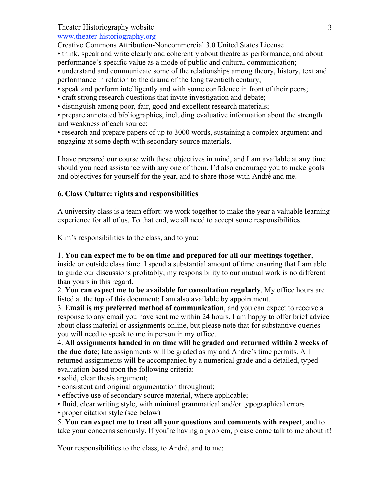www.theater-historiography.org

Creative Commons Attribution-Noncommercial 3.0 United States License

• think, speak and write clearly and coherently about theatre as performance, and about performance's specific value as a mode of public and cultural communication;

• understand and communicate some of the relationships among theory, history, text and performance in relation to the drama of the long twentieth century;

• speak and perform intelligently and with some confidence in front of their peers;

• craft strong research questions that invite investigation and debate;

• distinguish among poor, fair, good and excellent research materials;

• prepare annotated bibliographies, including evaluative information about the strength and weakness of each source;

• research and prepare papers of up to 3000 words, sustaining a complex argument and engaging at some depth with secondary source materials.

I have prepared our course with these objectives in mind, and I am available at any time should you need assistance with any one of them. I'd also encourage you to make goals and objectives for yourself for the year, and to share those with André and me.

# **6. Class Culture: rights and responsibilities**

A university class is a team effort: we work together to make the year a valuable learning experience for all of us. To that end, we all need to accept some responsibilities.

Kim's responsibilities to the class, and to you:

1. **You can expect me to be on time and prepared for all our meetings together**, inside or outside class time. I spend a substantial amount of time ensuring that I am able to guide our discussions profitably; my responsibility to our mutual work is no different than yours in this regard.

2. **You can expect me to be available for consultation regularly**. My office hours are listed at the top of this document; I am also available by appointment.

3. **Email is my preferred method of communication**, and you can expect to receive a response to any email you have sent me within 24 hours. I am happy to offer brief advice about class material or assignments online, but please note that for substantive queries you will need to speak to me in person in my office.

4. **All assignments handed in on time will be graded and returned within 2 weeks of the due date**; late assignments will be graded as my and André's time permits. All returned assignments will be accompanied by a numerical grade and a detailed, typed evaluation based upon the following criteria:

• solid, clear thesis argument;

- consistent and original argumentation throughout;
- effective use of secondary source material, where applicable;
- fluid, clear writing style, with minimal grammatical and/or typographical errors
- proper citation style (see below)

5. **You can expect me to treat all your questions and comments with respect**, and to take your concerns seriously. If you're having a problem, please come talk to me about it!

Your responsibilities to the class, to André, and to me: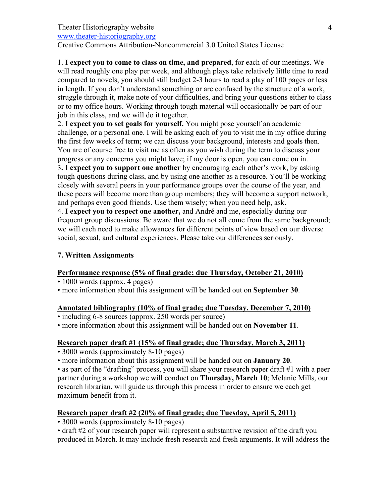www.theater-historiography.org

Creative Commons Attribution-Noncommercial 3.0 United States License

1. **I expect you to come to class on time, and prepared**, for each of our meetings. We will read roughly one play per week, and although plays take relatively little time to read compared to novels, you should still budget 2-3 hours to read a play of 100 pages or less in length. If you don't understand something or are confused by the structure of a work, struggle through it, make note of your difficulties, and bring your questions either to class or to my office hours. Working through tough material will occasionally be part of our job in this class, and we will do it together.

2. **I expect you to set goals for yourself.** You might pose yourself an academic challenge, or a personal one. I will be asking each of you to visit me in my office during the first few weeks of term; we can discuss your background, interests and goals then. You are of course free to visit me as often as you wish during the term to discuss your progress or any concerns you might have; if my door is open, you can come on in. 3**. I expect you to support one another** by encouraging each other's work, by asking tough questions during class, and by using one another as a resource. You'll be working closely with several peers in your performance groups over the course of the year, and these peers will become more than group members; they will become a support network, and perhaps even good friends. Use them wisely; when you need help, ask.

4. **I expect you to respect one another,** and André and me, especially during our frequent group discussions. Be aware that we do not all come from the same background; we will each need to make allowances for different points of view based on our diverse social, sexual, and cultural experiences. Please take our differences seriously.

# **7. Written Assignments**

# **Performance response (5% of final grade; due Thursday, October 21, 2010)**

- 1000 words (approx. 4 pages)
- more information about this assignment will be handed out on **September 30**.

# **Annotated bibliography (10% of final grade; due Tuesday, December 7, 2010)**

• including 6-8 sources (approx. 250 words per source)

• more information about this assignment will be handed out on **November 11**.

# **Research paper draft #1 (15% of final grade; due Thursday, March 3, 2011)**

• 3000 words (approximately 8-10 pages)

• more information about this assignment will be handed out on **January 20**.

• as part of the "drafting" process, you will share your research paper draft #1 with a peer partner during a workshop we will conduct on **Thursday, March 10**; Melanie Mills, our research librarian, will guide us through this process in order to ensure we each get maximum benefit from it.

# **Research paper draft #2 (20% of final grade; due Tuesday, April 5, 2011)**

• 3000 words (approximately 8-10 pages)

• draft #2 of your research paper will represent a substantive revision of the draft you produced in March. It may include fresh research and fresh arguments. It will address the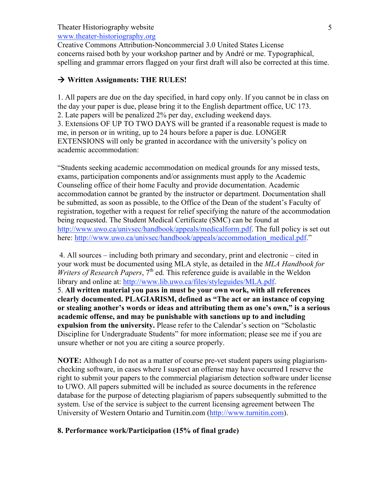www.theater-historiography.org

Creative Commons Attribution-Noncommercial 3.0 United States License concerns raised both by your workshop partner and by André or me. Typographical, spelling and grammar errors flagged on your first draft will also be corrected at this time.

# → Written Assignments: THE RULES!

1. All papers are due on the day specified, in hard copy only. If you cannot be in class on the day your paper is due, please bring it to the English department office, UC 173. 2. Late papers will be penalized 2% per day, excluding weekend days. 3. Extensions OF UP TO TWO DAYS will be granted if a reasonable request is made to me, in person or in writing, up to 24 hours before a paper is due. LONGER EXTENSIONS will only be granted in accordance with the university's policy on academic accommodation:

"Students seeking academic accommodation on medical grounds for any missed tests, exams, participation components and/or assignments must apply to the Academic Counseling office of their home Faculty and provide documentation. Academic accommodation cannot be granted by the instructor or department. Documentation shall be submitted, as soon as possible, to the Office of the Dean of the student's Faculty of registration, together with a request for relief specifying the nature of the accommodation being requested. The Student Medical Certificate (SMC) can be found at http://www.uwo.ca/univsec/handbook/appeals/medicalform.pdf. The full policy is set out here: http://www.uwo.ca/univsec/handbook/appeals/accommodation\_medical.pdf."

4. All sources – including both primary and secondary, print and electronic – cited in your work must be documented using MLA style, as detailed in the *MLA Handbook for Writers of Research Papers*, 7<sup>th</sup> ed. This reference guide is available in the Weldon library and online at: http://www.lib.uwo.ca/files/styleguides/MLA.pdf. 5. **All written material you pass in must be your own work, with all references clearly documented. PLAGIARISM, defined as "The act or an instance of copying or stealing another's words or ideas and attributing them as one's own," is a serious academic offense, and may be punishable with sanctions up to and including expulsion from the university.** Please refer to the Calendar's section on "Scholastic Discipline for Undergraduate Students" for more information; please see me if you are unsure whether or not you are citing a source properly.

**NOTE:** Although I do not as a matter of course pre-vet student papers using plagiarismchecking software, in cases where I suspect an offense may have occurred I reserve the right to submit your papers to the commercial plagiarism detection software under license to UWO. All papers submitted will be included as source documents in the reference database for the purpose of detecting plagiarism of papers subsequently submitted to the system. Use of the service is subject to the current licensing agreement between The University of Western Ontario and Turnitin.com (http://www.turnitin.com).

# **8. Performance work/Participation (15% of final grade)**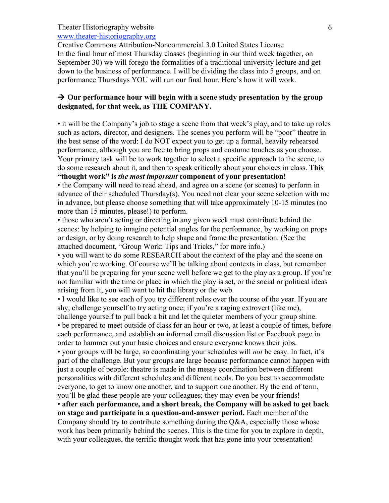### www.theater-historiography.org

Creative Commons Attribution-Noncommercial 3.0 United States License In the final hour of most Thursday classes (beginning in our third week together, on September 30) we will forego the formalities of a traditional university lecture and get down to the business of performance. I will be dividing the class into 5 groups, and on performance Thursdays YOU will run our final hour. Here's how it will work.

### → Our performance hour will begin with a scene study presentation by the group **designated, for that week, as THE COMPANY.**

• it will be the Company's job to stage a scene from that week's play, and to take up roles such as actors, director, and designers. The scenes you perform will be "poor" theatre in the best sense of the word: I do NOT expect you to get up a formal, heavily rehearsed performance, although you are free to bring props and costume touches as you choose. Your primary task will be to work together to select a specific approach to the scene, to do some research about it, and then to speak critically about your choices in class. **This** 

### **"thought work" is** *the most important* **component of your presentation!**

• the Company will need to read ahead, and agree on a scene (or scenes) to perform in advance of their scheduled Thursday(s). You need not clear your scene selection with me in advance, but please choose something that will take approximately 10-15 minutes (no more than 15 minutes, please!) to perform.

• those who aren't acting or directing in any given week must contribute behind the scenes: by helping to imagine potential angles for the performance, by working on props or design, or by doing research to help shape and frame the presentation. (See the attached document, "Group Work: Tips and Tricks," for more info.)

• you will want to do some RESEARCH about the context of the play and the scene on which you're working. Of course we'll be talking about contexts in class, but remember that you'll be preparing for your scene well before we get to the play as a group. If you're not familiar with the time or place in which the play is set, or the social or political ideas arising from it, you will want to hit the library or the web.

• I would like to see each of you try different roles over the course of the year. If you are shy, challenge yourself to try acting once; if you're a raging extrovert (like me), challenge yourself to pull back a bit and let the quieter members of your group shine.

• be prepared to meet outside of class for an hour or two, at least a couple of times, before each performance, and establish an informal email discussion list or Facebook page in order to hammer out your basic choices and ensure everyone knows their jobs.

• your groups will be large, so coordinating your schedules will *not* be easy. In fact, it's part of the challenge. But your groups are large because performance cannot happen with just a couple of people: theatre is made in the messy coordination between different personalities with different schedules and different needs. Do you best to accommodate everyone, to get to know one another, and to support one another. By the end of term, you'll be glad these people are your colleagues; they may even be your friends!

• **after each performance, and a short break, the Company will be asked to get back on stage and participate in a question-and-answer period.** Each member of the Company should try to contribute something during the Q&A, especially those whose work has been primarily behind the scenes. This is the time for you to explore in depth, with your colleagues, the terrific thought work that has gone into your presentation!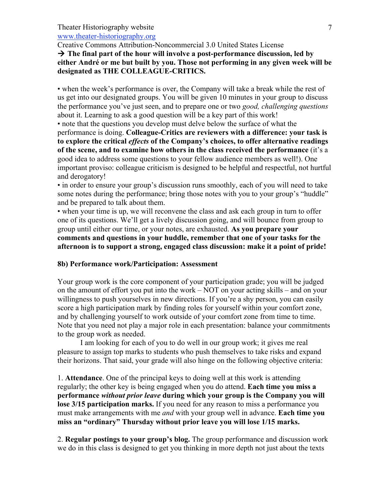www.theater-historiography.org

Creative Commons Attribution-Noncommercial 3.0 United States License

# **The final part of the hour will involve a post-performance discussion, led by either André or me but built by you. Those not performing in any given week will be designated as THE COLLEAGUE-CRITICS.**

• when the week's performance is over, the Company will take a break while the rest of us get into our designated groups. You will be given 10 minutes in your group to discuss the performance you've just seen, and to prepare one or two *good, challenging questions* about it. Learning to ask a good question will be a key part of this work!

• note that the questions you develop must delve below the surface of what the performance is doing. **Colleague-Critics are reviewers with a difference: your task is to explore the critical** *effects* **of the Company's choices, to offer alternative readings of the scene, and to examine how others in the class received the performance** (it's a good idea to address some questions to your fellow audience members as well!). One important proviso: colleague criticism is designed to be helpful and respectful, not hurtful and derogatory!

• in order to ensure your group's discussion runs smoothly, each of you will need to take some notes during the performance; bring those notes with you to your group's "huddle" and be prepared to talk about them.

• when your time is up, we will reconvene the class and ask each group in turn to offer one of its questions. We'll get a lively discussion going, and will bounce from group to group until either our time, or your notes, are exhausted. **As you prepare your comments and questions in your huddle, remember that one of your tasks for the afternoon is to support a strong, engaged class discussion: make it a point of pride!**

### **8b) Performance work/Participation: Assessment**

Your group work is the core component of your participation grade; you will be judged on the amount of effort you put into the work – NOT on your acting skills – and on your willingness to push yourselves in new directions. If you're a shy person, you can easily score a high participation mark by finding roles for yourself within your comfort zone, and by challenging yourself to work outside of your comfort zone from time to time. Note that you need not play a major role in each presentation: balance your commitments to the group work as needed.

I am looking for each of you to do well in our group work; it gives me real pleasure to assign top marks to students who push themselves to take risks and expand their horizons. That said, your grade will also hinge on the following objective criteria:

1. **Attendance**. One of the principal keys to doing well at this work is attending regularly; the other key is being engaged when you do attend. **Each time you miss a performance** *without prior leave* **during which your group is the Company you will lose 3/15 participation marks.** If you need for any reason to miss a performance you must make arrangements with me *and* with your group well in advance. **Each time you miss an "ordinary" Thursday without prior leave you will lose 1/15 marks.**

2. **Regular postings to your group's blog.** The group performance and discussion work we do in this class is designed to get you thinking in more depth not just about the texts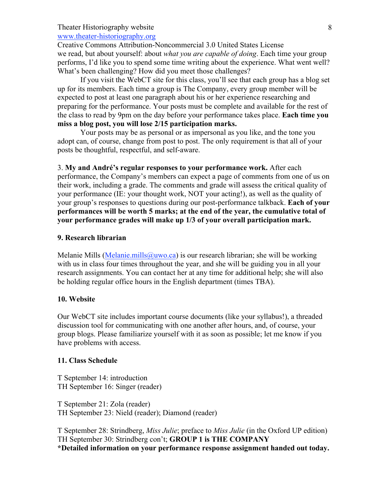www.theater-historiography.org

Creative Commons Attribution-Noncommercial 3.0 United States License we read, but about yourself: about *what you are capable of doing*. Each time your group performs, I'd like you to spend some time writing about the experience. What went well? What's been challenging? How did you meet those challenges?

If you visit the WebCT site for this class, you'll see that each group has a blog set up for its members. Each time a group is The Company, every group member will be expected to post at least one paragraph about his or her experience researching and preparing for the performance. Your posts must be complete and available for the rest of the class to read by 9pm on the day before your performance takes place. **Each time you miss a blog post, you will lose 2/15 participation marks.**

Your posts may be as personal or as impersonal as you like, and the tone you adopt can, of course, change from post to post. The only requirement is that all of your posts be thoughtful, respectful, and self-aware.

3. **My and André's regular responses to your performance work.** After each performance, the Company's members can expect a page of comments from one of us on their work, including a grade. The comments and grade will assess the critical quality of your performance (IE: your thought work, NOT your acting!), as well as the quality of your group's responses to questions during our post-performance talkback. **Each of your performances will be worth 5 marks; at the end of the year, the cumulative total of your performance grades will make up 1/3 of your overall participation mark.**

### **9. Research librarian**

Melanie Mills (Melanie.mills  $@uwo.ca)$  is our research librarian; she will be working with us in class four times throughout the year, and she will be guiding you in all your research assignments. You can contact her at any time for additional help; she will also be holding regular office hours in the English department (times TBA).

#### **10. Website**

Our WebCT site includes important course documents (like your syllabus!), a threaded discussion tool for communicating with one another after hours, and, of course, your group blogs. Please familiarize yourself with it as soon as possible; let me know if you have problems with access.

#### **11. Class Schedule**

T September 14: introduction TH September 16: Singer (reader)

T September 21: Zola (reader) TH September 23: Nield (reader); Diamond (reader)

T September 28: Strindberg, *Miss Julie*; preface to *Miss Julie* (in the Oxford UP edition) TH September 30: Strindberg con't; **GROUP 1 is THE COMPANY \*Detailed information on your performance response assignment handed out today.**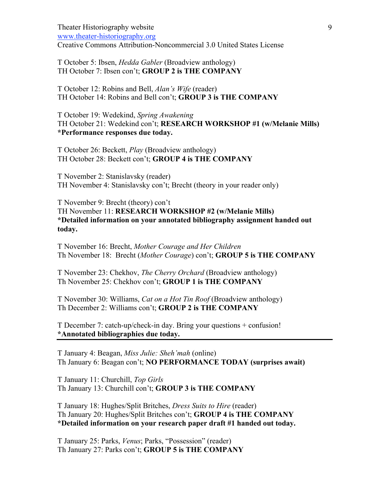Theater Historiography website www.theater-historiography.org Creative Commons Attribution-Noncommercial 3.0 United States License

T October 5: Ibsen, *Hedda Gabler* (Broadview anthology) TH October 7: Ibsen con't; **GROUP 2 is THE COMPANY**

T October 12: Robins and Bell, *Alan's Wife* (reader) TH October 14: Robins and Bell con't; **GROUP 3 is THE COMPANY**

T October 19: Wedekind, *Spring Awakening* TH October 21: Wedekind con't; **RESEARCH WORKSHOP #1 (w/Melanie Mills) \*Performance responses due today.**

T October 26: Beckett, *Play* (Broadview anthology) TH October 28: Beckett con't; **GROUP 4 is THE COMPANY**

T November 2: Stanislavsky (reader) TH November 4: Stanislavsky con't; Brecht (theory in your reader only)

T November 9: Brecht (theory) con't TH November 11: **RESEARCH WORKSHOP #2 (w/Melanie Mills) \*Detailed information on your annotated bibliography assignment handed out today.**

T November 16: Brecht, *Mother Courage and Her Children* Th November 18: Brecht (*Mother Courage*) con't; **GROUP 5 is THE COMPANY**

T November 23: Chekhov, *The Cherry Orchard* (Broadview anthology) Th November 25: Chekhov con't; **GROUP 1 is THE COMPANY**

T November 30: Williams, *Cat on a Hot Tin Roof* (Broadview anthology) Th December 2: Williams con't; **GROUP 2 is THE COMPANY**

T December 7: catch-up/check-in day. Bring your questions + confusion! **\*Annotated bibliographies due today.**

T January 4: Beagan, *Miss Julie: Sheh'mah* (online) Th January 6: Beagan con't; **NO PERFORMANCE TODAY (surprises await)**

T January 11: Churchill, *Top Girls* Th January 13: Churchill con't; **GROUP 3 is THE COMPANY**

T January 18: Hughes/Split Britches, *Dress Suits to Hire* (reader) Th January 20: Hughes/Split Britches con't; **GROUP 4 is THE COMPANY \*Detailed information on your research paper draft #1 handed out today.**

T January 25: Parks, *Venus*; Parks, "Possession" (reader) Th January 27: Parks con't; **GROUP 5 is THE COMPANY**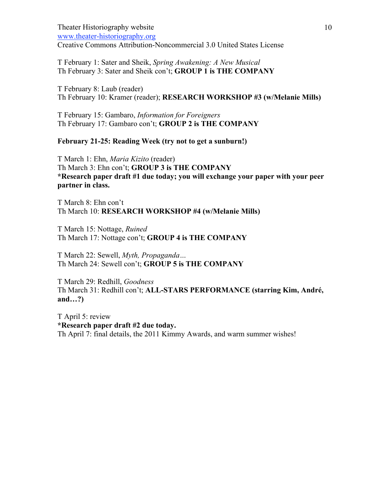Theater Historiography website www.theater-historiography.org Creative Commons Attribution-Noncommercial 3.0 United States License

T February 1: Sater and Sheik, *Spring Awakening: A New Musical* Th February 3: Sater and Sheik con't; **GROUP 1 is THE COMPANY**

T February 8: Laub (reader) Th February 10: Kramer (reader); **RESEARCH WORKSHOP #3 (w/Melanie Mills)**

T February 15: Gambaro, *Information for Foreigners* Th February 17: Gambaro con't; **GROUP 2 is THE COMPANY**

#### **February 21-25: Reading Week (try not to get a sunburn!)**

T March 1: Ehn, *Maria Kizito* (reader) Th March 3: Ehn con't; **GROUP 3 is THE COMPANY \*Research paper draft #1 due today; you will exchange your paper with your peer partner in class.**

T March 8: Ehn con't Th March 10: **RESEARCH WORKSHOP #4 (w/Melanie Mills)**

T March 15: Nottage, *Ruined* Th March 17: Nottage con't; **GROUP 4 is THE COMPANY**

T March 22: Sewell, *Myth, Propaganda…* Th March 24: Sewell con't; **GROUP 5 is THE COMPANY**

T March 29: Redhill, *Goodness* Th March 31: Redhill con't; **ALL-STARS PERFORMANCE (starring Kim, André, and…?)**

T April 5: review **\*Research paper draft #2 due today.** Th April 7: final details, the 2011 Kimmy Awards, and warm summer wishes!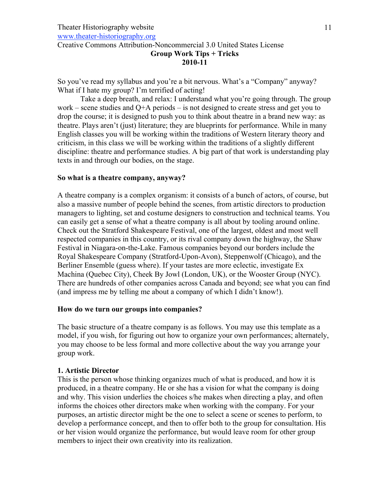www.theater-historiography.org

Creative Commons Attribution-Noncommercial 3.0 United States License

#### **Group Work Tips + Tricks 2010-11**

So you've read my syllabus and you're a bit nervous. What's a "Company" anyway? What if I hate my group? I'm terrified of acting!

Take a deep breath, and relax: I understand what you're going through. The group work – scene studies and  $Q+A$  periods – is not designed to create stress and get you to drop the course; it is designed to push you to think about theatre in a brand new way: as theatre. Plays aren't (just) literature; they are blueprints for performance. While in many English classes you will be working within the traditions of Western literary theory and criticism, in this class we will be working within the traditions of a slightly different discipline: theatre and performance studies. A big part of that work is understanding play texts in and through our bodies, on the stage.

### **So what is a theatre company, anyway?**

A theatre company is a complex organism: it consists of a bunch of actors, of course, but also a massive number of people behind the scenes, from artistic directors to production managers to lighting, set and costume designers to construction and technical teams. You can easily get a sense of what a theatre company is all about by tooling around online. Check out the Stratford Shakespeare Festival, one of the largest, oldest and most well respected companies in this country, or its rival company down the highway, the Shaw Festival in Niagara-on-the-Lake. Famous companies beyond our borders include the Royal Shakespeare Company (Stratford-Upon-Avon), Steppenwolf (Chicago), and the Berliner Ensemble (guess where). If your tastes are more eclectic, investigate Ex Machina (Quebec City), Cheek By Jowl (London, UK), or the Wooster Group (NYC). There are hundreds of other companies across Canada and beyond; see what you can find (and impress me by telling me about a company of which I didn't know!).

### **How do we turn our groups into companies?**

The basic structure of a theatre company is as follows. You may use this template as a model, if you wish, for figuring out how to organize your own performances; alternately, you may choose to be less formal and more collective about the way you arrange your group work.

# **1. Artistic Director**

This is the person whose thinking organizes much of what is produced, and how it is produced, in a theatre company. He or she has a vision for what the company is doing and why. This vision underlies the choices s/he makes when directing a play, and often informs the choices other directors make when working with the company. For your purposes, an artistic director might be the one to select a scene or scenes to perform, to develop a performance concept, and then to offer both to the group for consultation. His or her vision would organize the performance, but would leave room for other group members to inject their own creativity into its realization.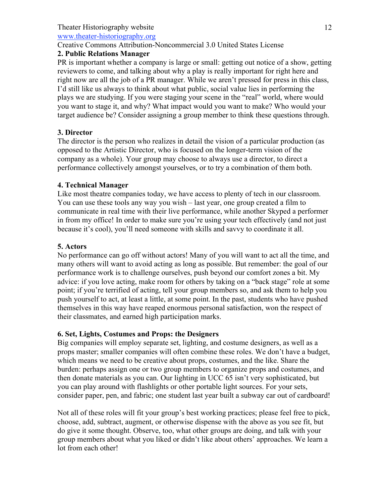www.theater-historiography.org

# Creative Commons Attribution-Noncommercial 3.0 United States License

# **2. Public Relations Manager**

PR is important whether a company is large or small: getting out notice of a show, getting reviewers to come, and talking about why a play is really important for right here and right now are all the job of a PR manager. While we aren't pressed for press in this class, I'd still like us always to think about what public, social value lies in performing the plays we are studying. If you were staging your scene in the "real" world, where would you want to stage it, and why? What impact would you want to make? Who would your target audience be? Consider assigning a group member to think these questions through.

# **3. Director**

The director is the person who realizes in detail the vision of a particular production (as opposed to the Artistic Director, who is focused on the longer-term vision of the company as a whole). Your group may choose to always use a director, to direct a performance collectively amongst yourselves, or to try a combination of them both.

# **4. Technical Manager**

Like most theatre companies today, we have access to plenty of tech in our classroom. You can use these tools any way you wish – last year, one group created a film to communicate in real time with their live performance, while another Skyped a performer in from my office! In order to make sure you're using your tech effectively (and not just because it's cool), you'll need someone with skills and savvy to coordinate it all.

# **5. Actors**

No performance can go off without actors! Many of you will want to act all the time, and many others will want to avoid acting as long as possible. But remember: the goal of our performance work is to challenge ourselves, push beyond our comfort zones a bit. My advice: if you love acting, make room for others by taking on a "back stage" role at some point; if you're terrified of acting, tell your group members so, and ask them to help you push yourself to act, at least a little, at some point. In the past, students who have pushed themselves in this way have reaped enormous personal satisfaction, won the respect of their classmates, and earned high participation marks.

# **6. Set, Lights, Costumes and Props: the Designers**

Big companies will employ separate set, lighting, and costume designers, as well as a props master; smaller companies will often combine these roles. We don't have a budget, which means we need to be creative about props, costumes, and the like. Share the burden: perhaps assign one or two group members to organize props and costumes, and then donate materials as you can. Our lighting in UCC 65 isn't very sophisticated, but you can play around with flashlights or other portable light sources. For your sets, consider paper, pen, and fabric; one student last year built a subway car out of cardboard!

Not all of these roles will fit your group's best working practices; please feel free to pick, choose, add, subtract, augment, or otherwise dispense with the above as you see fit, but do give it some thought. Observe, too, what other groups are doing, and talk with your group members about what you liked or didn't like about others' approaches. We learn a lot from each other!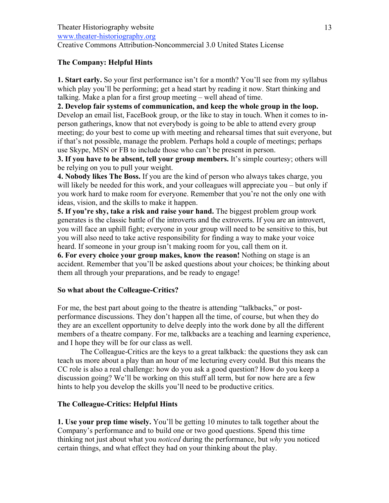### **The Company: Helpful Hints**

**1. Start early.** So your first performance isn't for a month? You'll see from my syllabus which play you'll be performing; get a head start by reading it now. Start thinking and talking. Make a plan for a first group meeting – well ahead of time.

**2. Develop fair systems of communication, and keep the whole group in the loop.** Develop an email list, FaceBook group, or the like to stay in touch. When it comes to inperson gatherings, know that not everybody is going to be able to attend every group meeting; do your best to come up with meeting and rehearsal times that suit everyone, but if that's not possible, manage the problem. Perhaps hold a couple of meetings; perhaps use Skype, MSN or FB to include those who can't be present in person.

**3. If you have to be absent, tell your group members.** It's simple courtesy; others will be relying on you to pull your weight.

**4. Nobody likes The Boss.** If you are the kind of person who always takes charge, you will likely be needed for this work, and your colleagues will appreciate you – but only if you work hard to make room for everyone. Remember that you're not the only one with ideas, vision, and the skills to make it happen.

**5. If you're shy, take a risk and raise your hand.** The biggest problem group work generates is the classic battle of the introverts and the extroverts. If you are an introvert, you will face an uphill fight; everyone in your group will need to be sensitive to this, but you will also need to take active responsibility for finding a way to make your voice heard. If someone in your group isn't making room for you, call them on it.

**6. For every choice your group makes, know the reason!** Nothing on stage is an accident. Remember that you'll be asked questions about your choices; be thinking about them all through your preparations, and be ready to engage!

### **So what about the Colleague-Critics?**

For me, the best part about going to the theatre is attending "talkbacks," or postperformance discussions. They don't happen all the time, of course, but when they do they are an excellent opportunity to delve deeply into the work done by all the different members of a theatre company. For me, talkbacks are a teaching and learning experience, and I hope they will be for our class as well.

The Colleague-Critics are the keys to a great talkback: the questions they ask can teach us more about a play than an hour of me lecturing every could. But this means the CC role is also a real challenge: how do you ask a good question? How do you keep a discussion going? We'll be working on this stuff all term, but for now here are a few hints to help you develop the skills you'll need to be productive critics.

### **The Colleague-Critics: Helpful Hints**

**1. Use your prep time wisely.** You'll be getting 10 minutes to talk together about the Company's performance and to build one or two good questions. Spend this time thinking not just about what you *noticed* during the performance, but *why* you noticed certain things, and what effect they had on your thinking about the play.